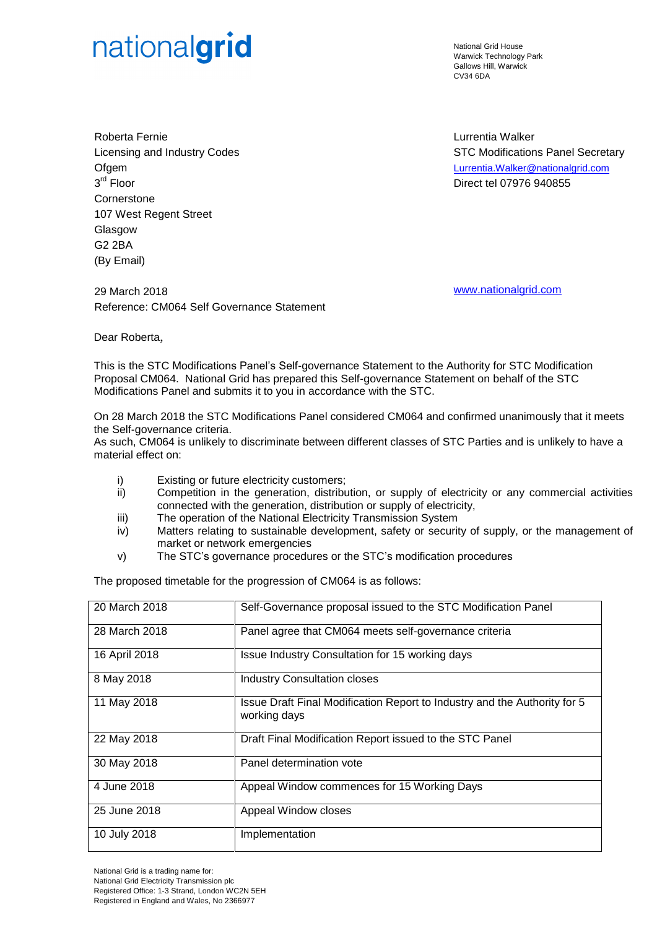## nationalgrid

National Grid House Warwick Technology Park Gallows Hill, Warwick CV34 6DA

Roberta Fernie Licensing and Industry Codes **Ofgem** 3 rd Floor **Cornerstone** 107 West Regent Street **Glasgow** G2 2BA (By Email)

29 March 2018 [www.nationalgrid.com](http://www.nationalgrid.com/) Reference: CM064 Self Governance Statement

Lurrentia Walker STC Modifications Panel Secretary [Lurrentia.Walker@nationalgrid.com](mailto:Lurrentia.Walker@nationalgrid.com) Direct tel 07976 940855

Dear Roberta,

This is the STC Modifications Panel's Self-governance Statement to the Authority for STC Modification Proposal CM064. National Grid has prepared this Self-governance Statement on behalf of the STC Modifications Panel and submits it to you in accordance with the STC.

On 28 March 2018 the STC Modifications Panel considered CM064 and confirmed unanimously that it meets the Self-governance criteria.

As such, CM064 is unlikely to discriminate between different classes of STC Parties and is unlikely to have a material effect on:

- i) Existing or future electricity customers;
- ii) Competition in the generation, distribution, or supply of electricity or any commercial activities connected with the generation, distribution or supply of electricity,
- iii) The operation of the National Electricity Transmission System
- iv) Matters relating to sustainable development, safety or security of supply, or the management of market or network emergencies
- v) The STC's governance procedures or the STC's modification procedures

The proposed timetable for the progression of CM064 is as follows:

| 20 March 2018 | Self-Governance proposal issued to the STC Modification Panel                             |
|---------------|-------------------------------------------------------------------------------------------|
| 28 March 2018 | Panel agree that CM064 meets self-governance criteria                                     |
| 16 April 2018 | Issue Industry Consultation for 15 working days                                           |
| 8 May 2018    | <b>Industry Consultation closes</b>                                                       |
| 11 May 2018   | Issue Draft Final Modification Report to Industry and the Authority for 5<br>working days |
| 22 May 2018   | Draft Final Modification Report issued to the STC Panel                                   |
| 30 May 2018   | Panel determination vote                                                                  |
| 4 June 2018   | Appeal Window commences for 15 Working Days                                               |
| 25 June 2018  | Appeal Window closes                                                                      |
| 10 July 2018  | Implementation                                                                            |